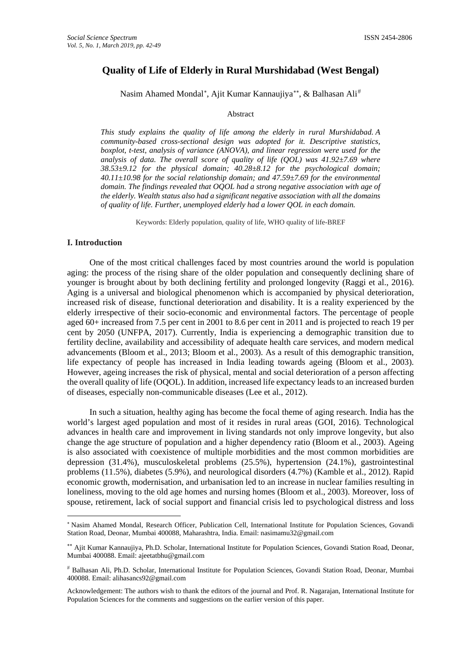# **Quality of Life of Elderly in Rural Murshidabad (West Bengal)**

Nasim Ahamed Mondal<sup>[∗](#page-0-0)</sup>, Ajit Kumar Kannaujiya<sup>[∗∗](#page-0-1)</sup>, & Balhasan Ali<sup>[#](#page-0-2)</sup>

#### Abstract

*This study explains the quality of life among the elderly in rural Murshidabad. A community-based cross-sectional design was adopted for it. Descriptive statistics, boxplot, t-test, analysis of variance (ANOVA), and linear regression were used for the analysis of data. The overall score of quality of life (QOL) was 41.92±7.69 where 38.53±9.12 for the physical domain; 40.28±8.12 for the psychological domain; 40.11±10.98 for the social relationship domain; and 47.59±7.69 for the environmental domain. The findings revealed that OQOL had a strong negative association with age of the elderly. Wealth status also had a significant negative association with all the domains of quality of life. Further, unemployed elderly had a lower QOL in each domain.*

Keywords: Elderly population, quality of life, WHO quality of life-BREF

#### **I. Introduction**

<u>.</u>

One of the most critical challenges faced by most countries around the world is population aging: the process of the rising share of the older population and consequently declining share of younger is brought about by both declining fertility and prolonged longevity (Raggi et al., 2016). Aging is a universal and biological phenomenon which is accompanied by physical deterioration, increased risk of disease, functional deterioration and disability. It is a reality experienced by the elderly irrespective of their socio-economic and environmental factors. The percentage of people aged 60+ increased from 7.5 per cent in 2001 to 8.6 per cent in 2011 and is projected to reach 19 per cent by 2050 (UNFPA, 2017). Currently, India is experiencing a demographic transition due to fertility decline, availability and accessibility of adequate health care services, and modern medical advancements (Bloom et al., 2013; Bloom et al., 2003). As a result of this demographic transition, life expectancy of people has increased in India leading towards ageing (Bloom et al., 2003). However, ageing increases the risk of physical, mental and social deterioration of a person affecting the overall quality of life (OQOL). In addition, increased life expectancy leads to an increased burden of diseases, especially non-communicable diseases (Lee et al., 2012).

In such a situation, healthy aging has become the focal theme of aging research. India has the world's largest aged population and most of it resides in rural areas (GOI, 2016). Technological advances in health care and improvement in living standards not only improve longevity, but also change the age structure of population and a higher dependency ratio (Bloom et al., 2003). Ageing is also associated with coexistence of multiple morbidities and the most common morbidities are depression (31.4%), musculoskeletal problems (25.5%), hypertension (24.1%), gastrointestinal problems (11.5%), diabetes (5.9%), and neurological disorders (4.7%) (Kamble et al., 2012). Rapid economic growth, modernisation, and urbanisation led to an increase in nuclear families resulting in loneliness, moving to the old age homes and nursing homes (Bloom et al., 2003). Moreover, loss of spouse, retirement, lack of social support and financial crisis led to psychological distress and loss

<span id="page-0-0"></span><sup>∗</sup> Nasim Ahamed Mondal, Research Officer, Publication Cell, International Institute for Population Sciences, Govandi Station Road, Deonar, Mumbai 400088, Maharashtra, India. Email[: nasimamu32@gmail.com](mailto:nasimamu32@gmail.com)

<span id="page-0-1"></span><sup>∗∗</sup> Ajit Kumar Kannaujiya, Ph.D. Scholar, International Institute for Population Sciences, Govandi Station Road, Deonar, Mumbai 400088. Email[: ajeetatbhu@gmail.com](mailto:ajeetatbhu@gmail.com)

<span id="page-0-2"></span><sup>#</sup> Balhasan Ali, Ph.D. Scholar, International Institute for Population Sciences, Govandi Station Road, Deonar, Mumbai 400088. Email: [alihasancs92@gmail.com](mailto:alihasancs92@gmail.com)

Acknowledgement: The authors wish to thank the editors of the journal and Prof. R. Nagarajan, International Institute for Population Sciences for the comments and suggestions on the earlier version of this paper.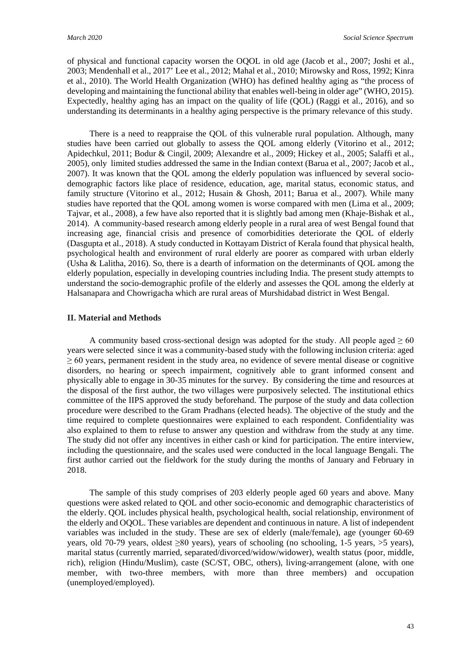of physical and functional capacity worsen the OQOL in old age (Jacob et al., 2007; Joshi et al., 2003; Mendenhall et al., 2017' Lee et al., 2012; Mahal et al., 2010; Mirowsky and Ross, 1992; Kinra et al., 2010). The World Health Organization (WHO) has defined healthy aging as "the process of developing and maintaining the functional ability that enables well-being in older age" (WHO, 2015). Expectedly, healthy aging has an impact on the quality of life (QOL) (Raggi et al., 2016), and so understanding its determinants in a healthy aging perspective is the primary relevance of this study.

There is a need to reappraise the QOL of this vulnerable rural population. Although, many studies have been carried out globally to assess the QOL among elderly (Vitorino et al., 2012; Apidechkul, 2011; Bodur & Cingil, 2009; Alexandre et al., 2009; Hickey et al., 2005; Salaffi et al., 2005), only limited studies addressed the same in the Indian context (Barua et al., 2007; Jacob et al., 2007). It was known that the QOL among the elderly population was influenced by several sociodemographic factors like place of residence, education, age, marital status, economic status, and family structure (Vitorino et al., 2012; Husain & Ghosh, 2011; Barua et al., 2007). While many studies have reported that the QOL among women is worse compared with men (Lima et al., 2009; Tajvar, et al., 2008), a few have also reported that it is slightly bad among men (Khaje-Bishak et al., 2014). A community-based research among elderly people in a rural area of west Bengal found that increasing age, financial crisis and presence of comorbidities deteriorate the QOL of elderly (Dasgupta et al., 2018). A study conducted in Kottayam District of Kerala found that physical health, psychological health and environment of rural elderly are poorer as compared with urban elderly (Usha & Lalitha, 2016). So, there is a dearth of information on the determinants of QOL among the elderly population, especially in developing countries including India. The present study attempts to understand the socio-demographic profile of the elderly and assesses the QOL among the elderly at Halsanapara and Chowrigacha which are rural areas of Murshidabad district in West Bengal.

## **II. Material and Methods**

A community based cross-sectional design was adopted for the study. All people aged  $\geq 60$ years were selected since it was a community-based study with the following inclusion criteria: aged ≥ 60 years, permanent resident in the study area, no evidence of severe mental disease or cognitive disorders, no hearing or speech impairment, cognitively able to grant informed consent and physically able to engage in 30-35 minutes for the survey. By considering the time and resources at the disposal of the first author, the two villages were purposively selected. The institutional ethics committee of the IIPS approved the study beforehand. The purpose of the study and data collection procedure were described to the Gram Pradhans (elected heads). The objective of the study and the time required to complete questionnaires were explained to each respondent. Confidentiality was also explained to them to refuse to answer any question and withdraw from the study at any time. The study did not offer any incentives in either cash or kind for participation. The entire interview, including the questionnaire, and the scales used were conducted in the local language Bengali. The first author carried out the fieldwork for the study during the months of January and February in 2018.

The sample of this study comprises of 203 elderly people aged 60 years and above. Many questions were asked related to QOL and other socio-economic and demographic characteristics of the elderly. QOL includes physical health, psychological health, social relationship, environment of the elderly and OQOL. These variables are dependent and continuous in nature. A list of independent variables was included in the study. These are sex of elderly (male/female), age (younger 60-69 years, old 70-79 years, oldest  $\geq 80$  years), years of schooling (no schooling, 1-5 years,  $>$ 5 years), marital status (currently married, separated/divorced/widow/widower), wealth status (poor, middle, rich), religion (Hindu/Muslim), caste (SC/ST, OBC, others), living-arrangement (alone, with one member, with two-three members, with more than three members) and occupation (unemployed/employed).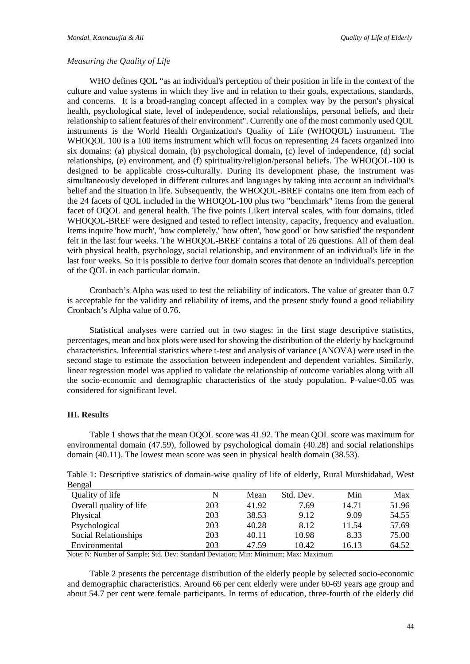### *Measuring the Quality of Life*

WHO defines QOL "as an individual's perception of their position in life in the context of the culture and value systems in which they live and in relation to their goals, expectations, standards, and concerns. It is a broad-ranging concept affected in a complex way by the person's physical health, psychological state, level of independence, social relationships, personal beliefs, and their relationship to salient features of their environment". Currently one of the most commonly used QOL instruments is the World Health Organization's Quality of Life (WHOQOL) instrument. The WHOQOL 100 is a 100 items instrument which will focus on representing 24 facets organized into six domains: (a) physical domain, (b) psychological domain, (c) level of independence, (d) social relationships, (e) environment, and (f) spirituality/religion/personal beliefs. The WHOQOL-100 is designed to be applicable cross-culturally. During its development phase, the instrument was simultaneously developed in different cultures and languages by taking into account an individual's belief and the situation in life. Subsequently, the WHOQOL-BREF contains one item from each of the 24 facets of QOL included in the WHOQOL-100 plus two "benchmark" items from the general facet of OQOL and general health. The five points Likert interval scales, with four domains, titled WHOOOL-BREF were designed and tested to reflect intensity, capacity, frequency and evaluation. Items inquire 'how much', 'how completely,' 'how often', 'how good' or 'how satisfied' the respondent felt in the last four weeks. The WHOQOL-BREF contains a total of 26 questions. All of them deal with physical health, psychology, social relationship, and environment of an individual's life in the last four weeks. So it is possible to derive four domain scores that denote an individual's perception of the QOL in each particular domain.

Cronbach's Alpha was used to test the reliability of indicators. The value of greater than 0.7 is acceptable for the validity and reliability of items, and the present study found a good reliability Cronbach's Alpha value of 0.76.

Statistical analyses were carried out in two stages: in the first stage descriptive statistics, percentages, mean and box plots were used for showing the distribution of the elderly by background characteristics. Inferential statistics where t-test and analysis of variance (ANOVA) were used in the second stage to estimate the association between independent and dependent variables. Similarly, linear regression model was applied to validate the relationship of outcome variables along with all the socio-economic and demographic characteristics of the study population. P-value $<0.05$  was considered for significant level.

#### **III. Results**

Table 1 shows that the mean OQOL score was 41.92. The mean QOL score was maximum for environmental domain (47.59), followed by psychological domain (40.28) and social relationships domain (40.11). The lowest mean score was seen in physical health domain (38.53).

Table 1: Descriptive statistics of domain-wise quality of life of elderly, Rural Murshidabad, West Bengal

| Quality of life         | N   | Mean  | Std. Dev. | Min   | Max   |
|-------------------------|-----|-------|-----------|-------|-------|
| Overall quality of life | 203 | 41.92 | 7.69      | 14.71 | 51.96 |
| Physical                | 203 | 38.53 | 9.12      | 9.09  | 54.55 |
| Psychological           | 203 | 40.28 | 8.12      | 11.54 | 57.69 |
| Social Relationships    | 203 | 40.11 | 10.98     | 8.33  | 75.00 |
| Environmental           | 203 | 47.59 | 10.42     | 16.13 | 64.52 |

Note: N: Number of Sample; Std. Dev: Standard Deviation; Min: Minimum; Max: Maximum

Table 2 presents the percentage distribution of the elderly people by selected socio-economic and demographic characteristics. Around 66 per cent elderly were under 60-69 years age group and about 54.7 per cent were female participants. In terms of education, three-fourth of the elderly did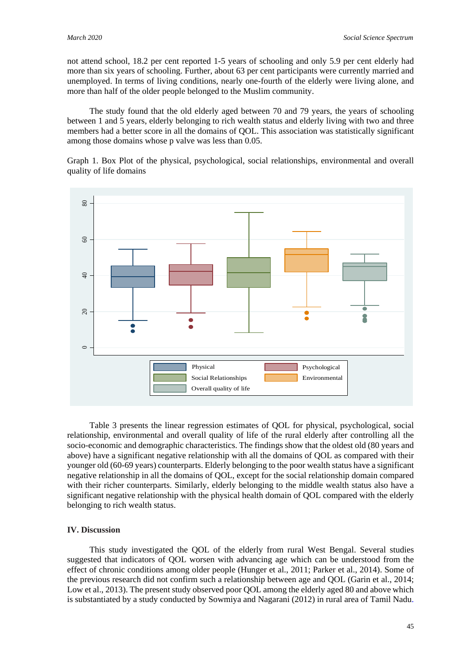not attend school, 18.2 per cent reported 1-5 years of schooling and only 5.9 per cent elderly had more than six years of schooling. Further, about 63 per cent participants were currently married and unemployed. In terms of living conditions, nearly one-fourth of the elderly were living alone, and more than half of the older people belonged to the Muslim community.

The study found that the old elderly aged between 70 and 79 years, the years of schooling between 1 and 5 years, elderly belonging to rich wealth status and elderly living with two and three members had a better score in all the domains of QOL. This association was statistically significant among those domains whose p valve was less than 0.05.

Graph 1. Box Plot of the physical, psychological, social relationships, environmental and overall quality of life domains



Table 3 presents the linear regression estimates of QOL for physical, psychological, social relationship, environmental and overall quality of life of the rural elderly after controlling all the socio-economic and demographic characteristics. The findings show that the oldest old (80 years and above) have a significant negative relationship with all the domains of QOL as compared with their younger old (60-69 years) counterparts. Elderly belonging to the poor wealth status have a significant negative relationship in all the domains of QOL, except for the social relationship domain compared with their richer counterparts. Similarly, elderly belonging to the middle wealth status also have a significant negative relationship with the physical health domain of QOL compared with the elderly belonging to rich wealth status.

## **IV. Discussion**

This study investigated the QOL of the elderly from rural West Bengal. Several studies suggested that indicators of QOL worsen with advancing age which can be understood from the effect of chronic conditions among older people (Hunger et al., 2011; Parker et al., 2014). Some of the previous research did not confirm such a relationship between age and QOL (Garin et al., 2014; Low et al., 2013). The present study observed poor QOL among the elderly aged 80 and above which is substantiated by a study conducted by Sowmiya and Nagarani (2012) in rural area of Tamil Nadu.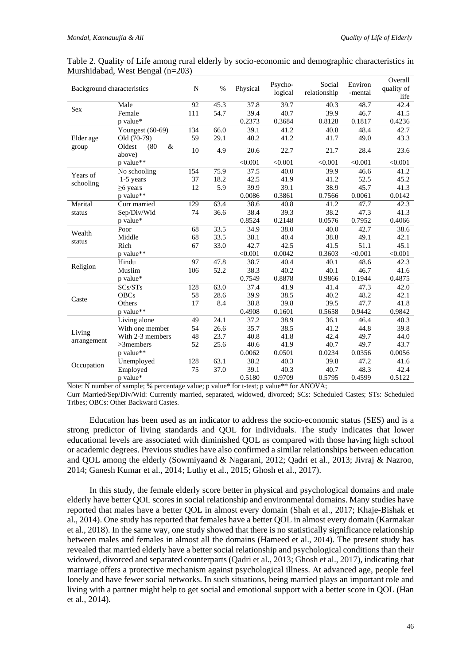| Table 2. Quality of Life among rural elderly by socio-economic and demographic characteristics in |  |  |
|---------------------------------------------------------------------------------------------------|--|--|
| Murshidabad, West Bengal (n=203)                                                                  |  |  |

| Background characteristics          |                                  | N   | $\%$ | Physical | Psycho-<br>logical | Social<br>relationship | Environ<br>-mental | Overall<br>quality of<br>life |
|-------------------------------------|----------------------------------|-----|------|----------|--------------------|------------------------|--------------------|-------------------------------|
| <b>Sex</b>                          | Male                             | 92  | 45.3 | 37.8     | 39.7               | 40.3                   | 48.7               | 42.4                          |
|                                     | Female                           | 111 | 54.7 | 39.4     | 40.7               | 39.9                   | 46.7               | 41.5                          |
|                                     | p value*                         |     |      | 0.2373   | 0.3684             | 0.8128                 | 0.1817             | 0.4236                        |
|                                     | Youngest (60-69)                 | 134 | 66.0 | 39.1     | 41.2               | 40.8                   | 48.4               | 42.7                          |
| Elder age                           | Old (70-79)                      | 59  | 29.1 | 40.2     | 41.2               | 41.7                   | 49.0               | 43.3                          |
| group                               | Oldest<br>(80)<br>$\&$<br>above) | 10  | 4.9  | 20.6     | 22.7               | 21.7                   | 28.4               | 23.6                          |
|                                     | p value**                        |     |      | < 0.001  | < 0.001            | < 0.001                | < 0.001            | < 0.001                       |
| Years of                            | No schooling                     | 154 | 75.9 | 37.5     | 40.0               | 39.9                   | 46.6               | 41.2                          |
|                                     | $1-5$ years                      | 37  | 18.2 | 42.5     | 41.9               | 41.2                   | 52.5               | 45.2                          |
| schooling                           | $\geq 6$ years                   | 12  | 5.9  | 39.9     | 39.1               | 38.9                   | 45.7               | 41.3                          |
|                                     | p value**                        |     |      | 0.0086   | 0.3861             | 0.7566                 | 0.0061             | 0.0142                        |
| Marital                             | Curr married                     | 129 | 63.4 | 38.6     | 40.8               | 41.2                   | 47.7               | 42.3                          |
| status                              | Sep/Div/Wid                      | 74  | 36.6 | 38.4     | 39.3               | 38.2                   | 47.3               | 41.3                          |
|                                     | p value*                         |     |      | 0.8524   | 0.2148             | 0.0576                 | 0.7952             | 0.4066                        |
| Wealth                              | Poor                             | 68  | 33.5 | 34.9     | 38.0               | 40.0                   | 42.7               | 38.6                          |
| status                              | Middle                           | 68  | 33.5 | 38.1     | 40.4               | 38.8                   | 49.1               | 42.1                          |
|                                     | Rich                             | 67  | 33.0 | 42.7     | 42.5               | 41.5                   | 51.1               | 45.1                          |
|                                     | p value**                        |     |      | < 0.001  | 0.0042             | 0.3603                 | < 0.001            | < 0.001                       |
| Religion                            | Hindu                            | 97  | 47.8 | 38.7     | 40.4               | 40.1                   | 48.6               | 42.3                          |
|                                     | Muslim                           | 106 | 52.2 | 38.3     | 40.2               | 40.1                   | 46.7               | 41.6                          |
|                                     | p value*                         |     |      | 0.7549   | 0.8878             | 0.9866                 | 0.1944             | 0.4875                        |
| Caste                               | SCs/STs                          | 128 | 63.0 | 37.4     | 41.9               | 41.4                   | 47.3               | 42.0                          |
|                                     | <b>OBCs</b>                      | 58  | 28.6 | 39.9     | 38.5               | 40.2                   | 48.2               | 42.1                          |
|                                     | Others                           | 17  | 8.4  | 38.8     | 39.8               | 39.5                   | 47.7               | 41.8                          |
|                                     | p value**                        |     |      | 0.4908   | 0.1601             | 0.5658                 | 0.9442             | 0.9842                        |
| Living<br>arrangement<br>Occupation | Living alone                     | 49  | 24.1 | 37.2     | 38.9               | 36.1                   | 46.4               | 40.3                          |
|                                     | With one member                  | 54  | 26.6 | 35.7     | 38.5               | 41.2                   | 44.8               | 39.8                          |
|                                     | With 2-3 members                 | 48  | 23.7 | 40.8     | 41.8               | 42.4                   | 49.7               | 44.0                          |
|                                     | $>3$ members                     | 52  | 25.6 | 40.6     | 41.9               | 40.7                   | 49.7               | 43.7                          |
|                                     | p value**                        |     |      | 0.0062   | 0.0501             | 0.0234                 | 0.0356             | 0.0056                        |
|                                     | Unemployed                       | 128 | 63.1 | 38.2     | 40.3               | 39.8                   | 47.2               | 41.6                          |
|                                     | Employed                         | 75  | 37.0 | 39.1     | 40.3               | 40.7                   | 48.3               | 42.4                          |
|                                     | p value*                         |     |      | 0.5180   | 0.9709             | 0.5795                 | 0.4599             | 0.5122                        |

Note: N number of sample; % percentage value; p value\* for t-test; p value\*\* for ANOVA;

Curr Married/Sep/Div/Wid: Currently married, separated, widowed, divorced; SCs: Scheduled Castes; STs: Scheduled Tribes; OBCs: Other Backward Castes.

Education has been used as an indicator to address the socio-economic status (SES) and is a strong predictor of living standards and QOL for individuals. The study indicates that lower educational levels are associated with diminished QOL as compared with those having high school or academic degrees. Previous studies have also confirmed a similar relationships between education and QOL among the elderly (Sowmiyaand & Nagarani, 2012; Qadri et al., 2013; Jivraj & Nazroo, 2014; Ganesh Kumar et al., 2014; Luthy et al., 2015; Ghosh et al., 2017).

In this study, the female elderly score better in physical and psychological domains and male elderly have better QOL scores in social relationship and environmental domains. Many studies have reported that males have a better QOL in almost every domain (Shah et al., 2017; Khaje-Bishak et al., 2014). One study has reported that females have a better QOL in almost every domain (Karmakar et al., 2018). In the same way, one study showed that there is no statistically significance relationship between males and females in almost all the domains (Hameed et al., 2014). The present study has revealed that married elderly have a better social relationship and psychological conditions than their widowed, divorced and separated counterparts (Qadri et al., 2013; Ghosh et al., 2017), indicating that marriage offers a protective mechanism against psychological illness. At advanced age, people feel lonely and have fewer social networks. In such situations, being married plays an important role and living with a partner might help to get social and emotional support with a better score in QOL (Han et al., 2014).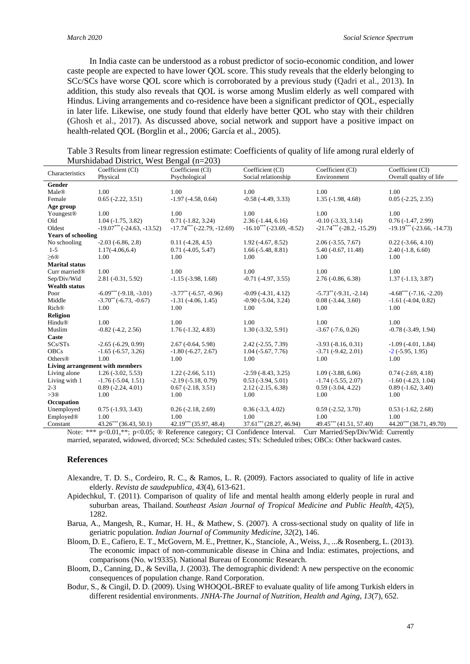In India caste can be understood as a robust predictor of socio-economic condition, and lower caste people are expected to have lower QOL score. This study reveals that the elderly belonging to SCc/SCs have worse QOL score which is corroborated by a previous study (Qadri et al., 2013). In addition, this study also reveals that QOL is worse among Muslim elderly as well compared with Hindus. Living arrangements and co-residence have been a significant predictor of QOL, especially in later life. Likewise, one study found that elderly have better QOL who stay with their children (Ghosh et al., 2017). As discussed above, social network and support have a positive impact on health-related QOL (Borglin et al., 2006; García et al., 2005).

Table 3 Results from linear regression estimate: Coefficients of quality of life among rural elderly of Murshidabad District, West Bengal (n=203)

| Characteristics                 | $n_{\text{refl}}$ and $n_{\text{refl}}$ and $n_{\text{refl}}$ and $n_{\text{refl}}$<br>Coefficient (CI) | Coefficient (CI)                         | Coefficient (CI)            | Coefficient (CI)                | Coefficient (CI)                    |  |  |
|---------------------------------|---------------------------------------------------------------------------------------------------------|------------------------------------------|-----------------------------|---------------------------------|-------------------------------------|--|--|
|                                 | Physical                                                                                                | Psychological                            | Social relationship         | Environment                     | Overall quality of life             |  |  |
| Gender                          |                                                                                                         |                                          |                             |                                 |                                     |  |  |
| Male®                           | 1.00                                                                                                    | 1.00                                     | 1.00                        | 1.00                            | 1.00                                |  |  |
| Female                          | $0.65(-2.22, 3.51)$                                                                                     | $-1.97(-4.58, 0.64)$                     | $-0.58(-4.49, 3.33)$        | $1.35(-1.98, 4.68)$             | $0.05$ ( $-2.25$ , $2.35$ )         |  |  |
| Age group                       |                                                                                                         |                                          |                             |                                 |                                     |  |  |
| Youngest <sup>®</sup>           | 1.00                                                                                                    | 1.00                                     | 1.00                        | 1.00                            | 1.00                                |  |  |
| Old                             | $1.04(-1.75, 3.82)$                                                                                     | $0.71(-1.82, 3.24)$                      | $2.36(-1.44, 6.16)$         | $-0.10$ $(-3.33, 3.14)$         | $0.76(-1.47, 2.99)$                 |  |  |
| Oldest                          | $-19.07***$ ( $-24.63$ , $-13.52$ )                                                                     | $-17.74***$ (-22.79, -12.69)             | $-16.10***$ (-23.69, -8.52) | $-21.74***$ ( $-28.2, -15.29$ ) | $-19.19***$ ( $-23.66$ , $-14.73$ ) |  |  |
| <b>Years of schooling</b>       |                                                                                                         |                                          |                             |                                 |                                     |  |  |
| No schooling                    | $-2.03(-6.86, 2.8)$                                                                                     | $0.11(-4.28, 4.5)$                       | $1.92(-4.67, 8.52)$         | $2.06(-3.55, 7.67)$             | $0.22(-3.66, 4.10)$                 |  |  |
| $1-5$                           | $1.17(-4.06, 6.4)$                                                                                      | $0.71(-4.05, 5.47)$                      | $1.66(-5.48, 8.81)$         | $5.40(-0.67, 11.48)$            | $2.40(-1.8, 6.60)$                  |  |  |
| >60                             | 1.00                                                                                                    | 1.00                                     | 1.00                        | 1.00                            | 1.00                                |  |  |
| <b>Marital status</b>           |                                                                                                         |                                          |                             |                                 |                                     |  |  |
| Curr married <sup>®</sup>       | 1.00                                                                                                    | 1.00                                     | 1.00                        | 1.00                            | 1.00                                |  |  |
| Sep/Div/Wid                     | $2.81(-0.31, 5.92)$                                                                                     | $-1.15(-3.98, 1.68)$                     | $-0.71(-4.97, 3.55)$        | $2.76(-0.86, 6.38)$             | $1.37(-1.13, 3.87)$                 |  |  |
| <b>Wealth status</b>            |                                                                                                         |                                          |                             |                                 |                                     |  |  |
| Poor                            | $-6.09***(-9.18,-3.01)$                                                                                 | $-3.77$ <sup>**</sup> ( $-6.57, -0.96$ ) | $-0.09(-4.31, 4.12)$        | $-5.73^{**}(-9.31, -2.14)$      | $-4.68***(-7.16,-2.20)$             |  |  |
| Middle                          | $-3.70^{**}(-6.73, -0.67)$                                                                              | $-1.31(-4.06, 1.45)$                     | $-0.90(-5.04, 3.24)$        | $0.08(-3.44, 3.60)$             | $-1.61$ $(-4.04, 0.82)$             |  |  |
| <b>Rich®</b>                    | 1.00                                                                                                    | 1.00                                     | 1.00                        | 1.00                            | 1.00                                |  |  |
| <b>Religion</b>                 |                                                                                                         |                                          |                             |                                 |                                     |  |  |
| Hindu®                          | 1.00                                                                                                    | 1.00                                     | 1.00                        | 1.00                            | 1.00                                |  |  |
| Muslim                          | $-0.82$ $(-4.2, 2.56)$                                                                                  | $1.76(-1.32, 4.83)$                      | $1.30(-3.32, 5.91)$         | $-3.67$ $(-7.6, 0.26)$          | $-0.78$ $(-3.49, 1.94)$             |  |  |
| Caste                           |                                                                                                         |                                          |                             |                                 |                                     |  |  |
| SCs/STs                         | $-2.65(-6.29, 0.99)$                                                                                    | $2.67(-0.64, 5.98)$                      | $2.42(-2.55, 7.39)$         | $-3.93(-8.16, 0.31)$            | $-1.09(-4.01, 1.84)$                |  |  |
| <b>OBCs</b>                     | $-1.65$ $(-6.57, 3.26)$                                                                                 | $-1.80(-6.27, 2.67)$                     | $1.04(-5.67, 7.76)$         | $-3.71(-9.42, 2.01)$            | $-2$ ( $-5.95$ , 1.95)              |  |  |
| Others <sup>®</sup>             | 1.00                                                                                                    | 1.00                                     | 1.00                        | 1.00                            | 1.00                                |  |  |
| Living arrangement with members |                                                                                                         |                                          |                             |                                 |                                     |  |  |
| Living alone                    | $1.26(-3.02, 5.53)$                                                                                     | $1.22(-2.66, 5.11)$                      | $-2.59(-8.43, 3.25)$        | $1.09(-3.88, 6.06)$             | $0.74$ ( $-2.69$ , $4.18$ )         |  |  |
| Living with 1                   | $-1.76(-5.04, 1.51)$                                                                                    | $-2.19(-5.18, 0.79)$                     | $0.53(-3.94, 5.01)$         | $-1.74$ $(-5.55, 2.07)$         | $-1.60(-4.23, 1.04)$                |  |  |
| $2 - 3$                         | $0.89(-2.24, 4.01)$                                                                                     | $0.67(-2.18, 3.51)$                      | $2.12(-2.15, 6.38)$         | $0.59(-3.04, 4.22)$             | $0.89(-1.62, 3.40)$                 |  |  |
| >30                             | 1.00                                                                                                    | 1.00                                     | 1.00                        | 1.00                            | 1.00                                |  |  |
| Occupation                      |                                                                                                         |                                          |                             |                                 |                                     |  |  |
| Unemployed                      | $0.75(-1.93, 3.43)$                                                                                     | $0.26(-2.18, 2.69)$                      | $0.36(-3.3, 4.02)$          | $0.59(-2.52, 3.70)$             | $0.53(-1.62, 2.68)$                 |  |  |
| Employed®                       | 1.00                                                                                                    | 1.00                                     | 1.00                        | 1.00                            | 1.00                                |  |  |
| Constant                        | $43.26***$ (36.43, 50.1)                                                                                | $42.19***$ (35.97, 48.4)                 | $37.61***$ (28.27, 46.94)   | 49.45*** (41.51, 57.40)         | 44.20*** (38.71, 49.70)             |  |  |

Note: \*\*\* p<0.01,\*\*; p<0.05; ® Reference category; CI Confidence Interval. Curr Married/Sep/Div/Wid: Currently married, separated, widowed, divorced; SCs: Scheduled castes; STs: Scheduled tribes; OBCs: Other backward castes.

#### **References**

- Alexandre, T. D. S., Cordeiro, R. C., & Ramos, L. R. (2009). Factors associated to quality of life in active elderly. *Revista de saudepublica*, *43*(4), 613-621.
- Apidechkul, T. (2011). Comparison of quality of life and mental health among elderly people in rural and suburban areas, Thailand. *Southeast Asian Journal of Tropical Medicine and Public Health*, *42*(5), 1282.
- Barua, A., Mangesh, R., Kumar, H. H., & Mathew, S. (2007). A cross-sectional study on quality of life in geriatric population. *Indian Journal of Community Medicine*, *32*(2), 146.
- Bloom, D. E., Cafiero, E. T., McGovern, M. E., Prettner, K., Stanciole, A., Weiss, J., ...& Rosenberg, L. (2013). The economic impact of non-communicable disease in China and India: estimates, projections, and comparisons (No. w19335). National Bureau of Economic Research.
- Bloom, D., Canning, D., & Sevilla, J. (2003). The demographic dividend: A new perspective on the economic consequences of population change. Rand Corporation.
- Bodur, S., & Cingil, D. D. (2009). Using WHOQOL-BREF to evaluate quality of life among Turkish elders in different residential environments. *JNHA-The Journal of Nutrition, Health and Aging*, *13*(7), 652.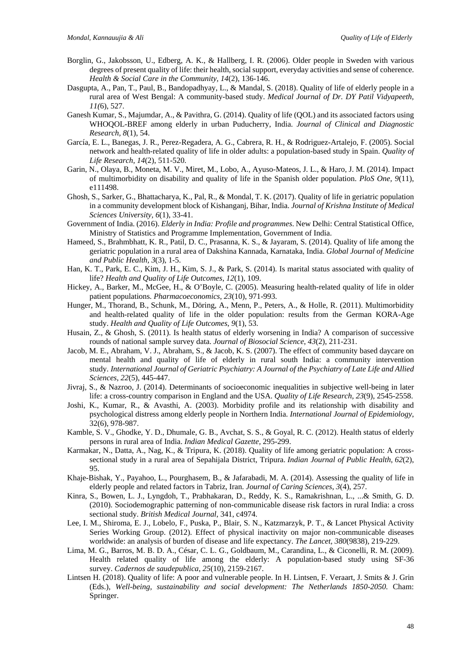- Borglin, G., Jakobsson, U., Edberg, A. K., & Hallberg, I. R. (2006). Older people in Sweden with various degrees of present quality of life: their health, social support, everyday activities and sense of coherence. *Health & Social Care in the Community, 14*(2), 136-146.
- Dasgupta, A., Pan, T., Paul, B., Bandopadhyay, L., & Mandal, S. (2018). Quality of life of elderly people in a rural area of West Bengal: A community-based study. *Medical Journal of Dr. DY Patil Vidyapeeth, 11(*6), 527.
- Ganesh Kumar, S., Majumdar, A., & Pavithra, G. (2014). Quality of life (QOL) and its associated factors using WHOQOL-BREF among elderly in urban Puducherry, India. *Journal of Clinical and Diagnostic Research, 8*(1), 54.
- García, E. L., Banegas, J. R., Perez-Regadera, A. G., Cabrera, R. H., & Rodriguez-Artalejo, F. (2005). Social network and health-related quality of life in older adults: a population-based study in Spain. *Quality of Life Research*, *14*(2), 511-520.
- Garin, N., Olaya, B., Moneta, M. V., Miret, M., Lobo, A., Ayuso-Mateos, J. L., & Haro, J. M. (2014). Impact of multimorbidity on disability and quality of life in the Spanish older population. *PloS One, 9*(11), e111498.
- Ghosh, S., Sarker, G., Bhattacharya, K., Pal, R., & Mondal, T. K. (2017). Quality of life in geriatric population in a community development block of Kishanganj, Bihar, India. *Journal of Krishna Institute of Medical Sciences University, 6*(1), 33-41.
- Government of India. (2016). *Elderly in India: Profile and programmes*. New Delhi: Central Statistical Office, Ministry of Statistics and Programme Implementation, Government of India.
- Hameed, S., Brahmbhatt, K. R., Patil, D. C., Prasanna, K. S., & Jayaram, S. (2014). Quality of life among the geriatric population in a rural area of Dakshina Kannada, Karnataka, India. *Global Journal of Medicine and Public Health, 3*(3), 1-5.
- Han, K. T., Park, E. C., Kim, J. H., Kim, S. J., & Park, S. (2014). Is marital status associated with quality of life? *Health and Quality of Life Outcomes*, *12*(1), 109.
- Hickey, A., Barker, M., McGee, H., & O'Boyle, C. (2005). Measuring health-related quality of life in older patient populations. *Pharmacoeconomics*, *23*(10), 971-993.
- Hunger, M., Thorand, B., Schunk, M., Döring, A., Menn, P., Peters, A., & Holle, R. (2011). Multimorbidity and health-related quality of life in the older population: results from the German KORA-Age study. *Health and Quality of Life Outcomes*, *9*(1), 53.
- Husain, Z., & Ghosh, S. (2011). Is health status of elderly worsening in India? A comparison of successive rounds of national sample survey data. *Journal of Biosocial Science*, *43*(2), 211-231.
- Jacob, M. E., Abraham, V. J., Abraham, S., & Jacob, K. S. (2007). The effect of community based daycare on mental health and quality of life of elderly in rural south India: a community intervention study. *International Journal of Geriatric Psychiatry: A Journal of the Psychiatry of Late Life and Allied Sciences*, *22*(5), 445-447.
- Jivraj, S., & Nazroo, J. (2014). Determinants of socioeconomic inequalities in subjective well-being in later life: a cross-country comparison in England and the USA. *Quality of Life Research*, *23*(9), 2545-2558.
- Joshi, K., Kumar, R., & Avasthi, A. (2003). Morbidity profile and its relationship with disability and psychological distress among elderly people in Northern India. *International Journal of Epidemiology*, 32(6), 978-987.
- Kamble, S. V., Ghodke, Y. D., Dhumale, G. B., Avchat, S. S., & Goyal, R. C. (2012). Health status of elderly persons in rural area of India. *Indian Medical Gazette,* 295-299.
- Karmakar, N., Datta, A., Nag, K., & Tripura, K. (2018). Quality of life among geriatric population: A crosssectional study in a rural area of Sepahijala District, Tripura. *Indian Journal of Public Health*, *62*(2), 95.
- Khaje-Bishak, Y., Payahoo, L., Pourghasem, B., & Jafarabadi, M. A. (2014). Assessing the quality of life in elderly people and related factors in Tabriz, Iran. *Journal of Caring Sciences*, *3*(4), 257.
- Kinra, S., Bowen, L. J., Lyngdoh, T., Prabhakaran, D., Reddy, K. S., Ramakrishnan, L., ...& Smith, G. D. (2010). Sociodemographic patterning of non-communicable disease risk factors in rural India: a cross sectional study. *British Medical Journal*, 341, c4974.
- Lee, I. M., Shiroma, E. J., Lobelo, F., Puska, P., Blair, S. N., Katzmarzyk, P. T., & Lancet Physical Activity Series Working Group. (2012). Effect of physical inactivity on major non-communicable diseases worldwide: an analysis of burden of disease and life expectancy. *The Lancet, 380*(9838), 219-229.
- Lima, M. G., Barros, M. B. D. A., César, C. L. G., Goldbaum, M., Carandina, L., & Ciconelli, R. M. (2009). Health related quality of life among the elderly: A population-based study using SF-36 survey. *Cadernos de saudepublica*, *25*(10), 2159-2167.
- Lintsen H. (2018). Quality of life: A poor and vulnerable people. In H. Lintsen, F. Veraart, J. Smits & J. Grin (Eds.), *Well-being, sustainability and social development: The Netherlands 1850-2050.* Cham: Springer.